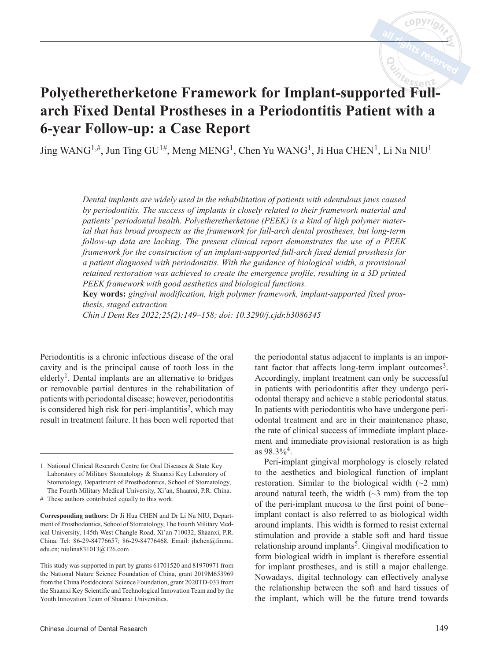# **Polyetheretherketone Framework for Implant-supported Fullarch Fixed Dental Prostheses in a Periodontitis Patient with a 6-year Follow-up: a Case Report**

Jing WANG<sup>1,#</sup>, Jun Ting GU<sup>1#</sup>, Meng MENG<sup>1</sup>, Chen Yu WANG<sup>1</sup>, Ji Hua CHEN<sup>1</sup>, Li Na NIU<sup>1</sup>

*Dental implants are widely used in the rehabilitation of patients with edentulous jaws caused by periodontitis. The success of implants is closely related to their framework material and patients' periodontal health. Polyetheretherketone (PEEK) is a kind of high polymer material that has broad prospects as the framework for full-arch dental prostheses, but long-term follow-up data are lacking. The present clinical report demonstrates the use of a PEEK framework for the construction of an implant-supported full-arch fixed dental prosthesis for a patient diagnosed with periodontitis. With the guidance of biological width, a provisional retained restoration was achieved to create the emergence profile, resulting in a 3D printed PEEK framework with good aesthetics and biological functions.* 

**Key words:** *gingival modification, high polymer framework, implant-supported fixed prosthesis, staged extraction*

*Chin J Dent Res 2022;25(2):149–158; doi: 10.3290/j.cjdr.b3086345*

Periodontitis is a chronic infectious disease of the oral cavity and is the principal cause of tooth loss in the elderly<sup>1</sup>. Dental implants are an alternative to bridges or removable partial dentures in the rehabilitation of patients with periodontal disease; however, periodontitis is considered high risk for peri-implantitis<sup>2</sup>, which may result in treatment failure. It has been well reported that

# These authors contributed equally to this work.

**Corresponding authors:** Dr Ji Hua CHEN and Dr Li Na NIU, Department of Prosthodontics, School of Stomatology, The Fourth Military Medical University, 145th West Changle Road, Xi'an 710032, Shaanxi, P.R. China. Tel: 86-29-84776657; 86-29-84776468. Email: jhchen@fmmu. edu.cn; niulina831013@126.com

This study was supported in part by grants 61701520 and 81970971 from the National Nature Science Foundation of China, grant 2019M653969 from the China Postdoctoral Science Foundation, grant 2020TD-033 from the Shaanxi Key Scientific and Technological Innovation Team and by the Youth Innovation Team of Shaanxi Universities.

the periodontal status adjacent to implants is an important factor that affects long-term implant outcomes<sup>3</sup>. Accordingly, implant treatment can only be successful in patients with periodontitis after they undergo periodontal therapy and achieve a stable periodontal status. In patients with periodontitis who have undergone periodontal treatment and are in their maintenance phase, the rate of clinical success of immediate implant placement and immediate provisional restoration is as high as  $98.3\%$ <sup>4</sup>.

Peri-implant gingival morphology is closely related to the aesthetics and biological function of implant restoration. Similar to the biological width  $(\sim 2$  mm) around natural teeth, the width  $(\sim 3 \text{ mm})$  from the top of the peri-implant mucosa to the first point of bone– implant contact is also referred to as biological width around implants. This width is formed to resist external stimulation and provide a stable soft and hard tissue relationship around implants<sup>5</sup>. Gingival modification to form biological width in implant is therefore essential for implant prostheses, and is still a major challenge. Nowadays, digital technology can effectively analyse the relationship between the soft and hard tissues of the implant, which will be the future trend towards

<sup>1</sup> National Clinical Research Centre for Oral Diseases & State Key Laboratory of Military Stomatology & Shaanxi Key Laboratory of Stomatology, Department of Prosthodontics, School of Stomatology, The Fourth Military Medical University, Xi'an, Shaanxi, P.R. China.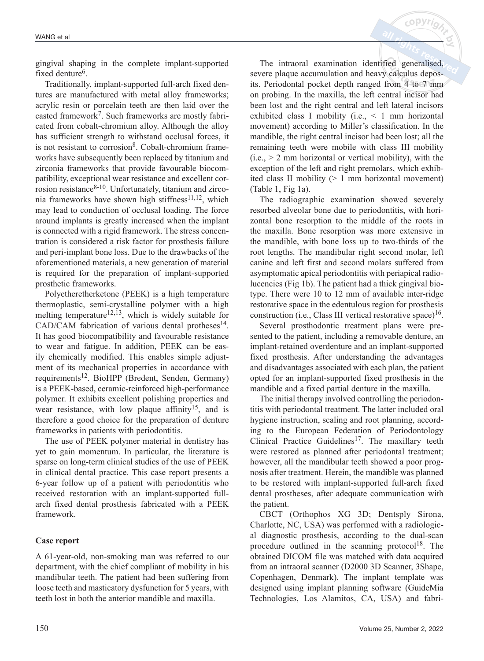gingival shaping in the complete implant-supported fixed denture<sup>6</sup>.

Traditionally, implant-supported full-arch fixed dentures are manufactured with metal alloy frameworks; acrylic resin or porcelain teeth are then laid over the casted framework7. Such frameworks are mostly fabricated from cobalt-chromium alloy. Although the alloy has sufficient strength to withstand occlusal forces, it is not resistant to corrosion<sup>8</sup>. Cobalt-chromium frameworks have subsequently been replaced by titanium and zirconia frameworks that provide favourable biocompatibility, exceptional wear resistance and excellent corrosion resistance<sup>8-10</sup>. Unfortunately, titanium and zirconia frameworks have shown high stiffness<sup>11,12</sup>, which may lead to conduction of occlusal loading. The force around implants is greatly increased when the implant is connected with a rigid framework. The stress concentration is considered a risk factor for prosthesis failure and peri-implant bone loss. Due to the drawbacks of the aforementioned materials, a new generation of material is required for the preparation of implant-supported prosthetic frameworks.

Polyetheretherketone (PEEK) is a high temperature thermoplastic, semi-crystalline polymer with a high melting temperature<sup>12,13</sup>, which is widely suitable for  $CAD/CAM$  fabrication of various dental protheses<sup>14</sup>. It has good biocompatibility and favourable resistance to wear and fatigue. In addition, PEEK can be easily chemically modified. This enables simple adjustment of its mechanical properties in accordance with requirements<sup>12</sup>. BioHPP (Bredent, Senden, Germany) is a PEEK-based, ceramic-reinforced high-performance polymer. It exhibits excellent polishing properties and wear resistance, with low plaque affinity<sup>15</sup>, and is therefore a good choice for the preparation of denture frameworks in patients with periodontitis.

The use of PEEK polymer material in dentistry has yet to gain momentum. In particular, the literature is sparse on long-term clinical studies of the use of PEEK in clinical dental practice. This case report presents a 6-year follow up of a patient with periodontitis who received restoration with an implant-supported fullarch fixed dental prosthesis fabricated with a PEEK framework.

# **Case report**

A 61-year-old, non-smoking man was referred to our department, with the chief compliant of mobility in his mandibular teeth. The patient had been suffering from loose teeth and masticatory dysfunction for 5 years, with teeth lost in both the anterior mandible and maxilla.

The intraoral examination identified generalised, severe plaque accumulation and heavy calculus deposits. Periodontal pocket depth ranged from 4 to 7 mm on probing. In the maxilla, the left central incisor had been lost and the right central and left lateral incisors exhibited class I mobility (i.e., < 1 mm horizontal movement) according to Miller's classification. In the mandible, the right central incisor had been lost; all the remaining teeth were mobile with class III mobility  $(i.e., > 2$  mm horizontal or vertical mobility), with the exception of the left and right premolars, which exhibited class II mobility (> 1 mm horizontal movement) (Table 1, Fig 1a).

 $c$  OPV $r$ 

The radiographic examination showed severely resorbed alveolar bone due to periodontitis, with horizontal bone resorption to the middle of the roots in the maxilla. Bone resorption was more extensive in the mandible, with bone loss up to two-thirds of the root lengths. The mandibular right second molar, left canine and left first and second molars suffered from asymptomatic apical periodontitis with periapical radiolucencies (Fig 1b). The patient had a thick gingival biotype. There were 10 to 12 mm of available inter-ridge restorative space in the edentulous region for prosthesis construction (i.e., Class III vertical restorative space) $16$ .

Several prosthodontic treatment plans were presented to the patient, including a removable denture, an implant-retained overdenture and an implant-supported fixed prosthesis. After understanding the advantages and disadvantages associated with each plan, the patient opted for an implant-supported fixed prosthesis in the mandible and a fixed partial denture in the maxilla.

The initial therapy involved controlling the periodontitis with periodontal treatment. The latter included oral hygiene instruction, scaling and root planning, according to the European Federation of Periodontology Clinical Practice Guidelines<sup>17</sup>. The maxillary teeth were restored as planned after periodontal treatment; however, all the mandibular teeth showed a poor prognosis after treatment. Herein, the mandible was planned to be restored with implant-supported full-arch fixed dental prostheses, after adequate communication with the patient.

CBCT (Orthophos XG 3D; Dentsply Sirona, Charlotte, NC, USA) was performed with a radiological diagnostic prosthesis, according to the dual-scan procedure outlined in the scanning protocol<sup>18</sup>. The obtained DICOM file was matched with data acquired from an intraoral scanner (D2000 3D Scanner, 3Shape, Copenhagen, Denmark). The implant template was designed using implant planning software (GuideMia Technologies, Los Alamitos, CA, USA) and fabri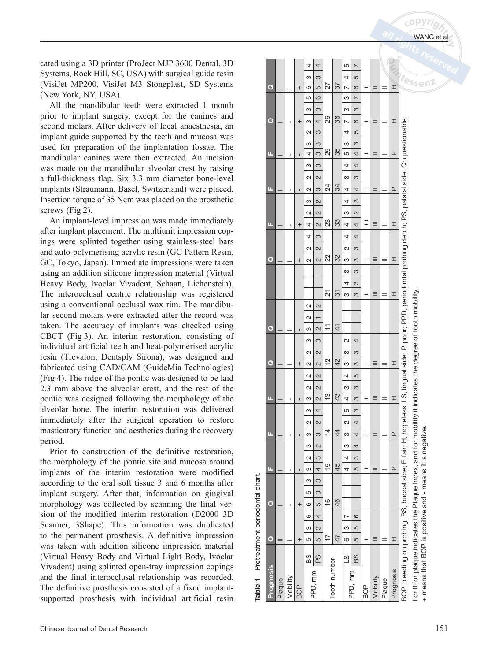cated using a 3D printer (ProJect MJP 3600 Dental, 3D Systems, Rock Hill, SC, USA) with surgical guide resin (VisiJet MP200, VisiJet M3 Stoneplast, SD Systems (New York, NY, USA).

All the mandibular teeth were extracted 1 month prior to implant surgery, except for the canines and second molars. After delivery of local anaesthesia, an implant guide supported by the teeth and mucosa was used for preparation of the implantation fossae. The mandibular canines were then extracted. An incision was made on the mandibular alveolar crest by raising a full-thickness flap. Six 3.3 mm diameter bone-level implants (Straumann, Basel, Switzerland) were placed. Insertion torque of 35 Ncm was placed on the prosthetic screws (Fig 2).

An implant-level impression was made immediately after implant placement. The multiunit impression copings were splinted together using stainless-steel bars and auto-polymerising acrylic resin (GC Pattern Resin, GC, Tokyo, Japan). Immediate impressions were taken using an addition silicone impression material (Virtual Heavy Body, Ivoclar Vivadent, Schaan, Lichenstein). The interocclusal centric relationship was registered using a conventional occlusal wax rim. The mandibular second molars were extracted after the record was taken. The accuracy of implants was checked using CBCT (Fig 3). An interim restoration, consisting of individual artificial teeth and heat-polymerised acrylic resin (Trevalon, Dentsply Sirona), was designed and fabricated using CAD/CAM (GuideMia Technologies) (Fig 4). The ridge of the pontic was designed to be laid 2.3 mm above the alveolar crest, and the rest of the pontic was designed following the morphology of the alveolar bone. The interim restoration was delivered immediately after the surgical operation to restore masticatory function and aesthetics during the recovery period.

Prior to construction of the definitive restoration, the morphology of the pontic site and mucosa around implants of the interim restoration were modified according to the oral soft tissue 3 and 6 months after implant surgery. After that, information on gingival morphology was collected by scanning the final version of the modified interim restoration (D2000 3D Scanner, 3Shape). This information was duplicated to the permanent prosthesis. A definitive impression was taken with addition silicone impression material (Virtual Heavy Body and Virtual Light Body, Ivoclar Vivadent) using splinted open-tray impression copings and the final interocclusal relationship was recorded. The definitive prosthesis consisted of a fixed implantsupported prosthesis with individual artificial resin

| <b>Prognosis</b>                                                                                                                                               | $\bullet$ |         | $\circ$       |    |   | ū.             |        |        | п             |        |   | ш                |                   | $\bullet$ |               |        | $\bullet$      |        |                   |        |   |   | $\mathbf{\sigma}$ |        |   | D                |        | п              |        |   | ш              |   |        | $\bullet$      |                               | σ              |                  |   |
|----------------------------------------------------------------------------------------------------------------------------------------------------------------|-----------|---------|---------------|----|---|----------------|--------|--------|---------------|--------|---|------------------|-------------------|-----------|---------------|--------|----------------|--------|-------------------|--------|---|---|-------------------|--------|---|------------------|--------|----------------|--------|---|----------------|---|--------|----------------|-------------------------------|----------------|------------------|---|
| Plaque                                                                                                                                                         |           |         |               |    |   |                |        |        |               |        |   |                  |                   |           |               |        |                |        |                   |        |   |   |                   |        |   |                  |        |                |        |   |                |   |        |                |                               |                |                  |   |
| Mobility                                                                                                                                                       |           |         | ï             |    |   | Ĭ.             |        |        |               |        |   | ı                |                   |           |               |        |                |        |                   |        |   |   |                   |        |   | ı                |        | ı              |        |   | ı              |   |        | ı              |                               |                |                  |   |
| BOP<br>B                                                                                                                                                       | ł         |         | $^{+}$        |    |   | $\mathbf{I}$   |        |        |               |        |   | $\blacksquare$   |                   | $\,^+$    |               |        | $\blacksquare$ |        |                   |        |   |   | $\overline{+}$    |        |   | $^{+}$           |        | $\blacksquare$ |        |   | $\blacksquare$ |   |        | $^{+}$         |                               | $^{+}$         |                  |   |
| 88<br>PPD, mm                                                                                                                                                  | M<br>ယ    | $\circ$ | $\circ$       | LO | ო | က              | $\sim$ | ო      | ო             | $\sim$ | ო | $\sim$<br>ო      | $\mathbf{\Omega}$ | $\sim$    | $\sim$        | ო      | ო              | $\sim$ | $\sim$            |        |   |   | $\sim$            | $\sim$ | 4 | $\sim$<br>4      | ო      | 2              | $\sim$ | ო | 4              | က | $\sim$ | ო              | 5<br>ო                        | ဖ              | ო                | 4 |
| 92<br>P                                                                                                                                                        | က<br>ဖ    | 4       | ဖ             | M  | S | $\overline{4}$ | M      | $\sim$ | ო             | $\sim$ | 4 | $\sim$<br>$\sim$ | $\sim$            | $\sim$    | $\sim$        | S      | $\sim$         |        | $\mathbf{\Omega}$ |        |   |   | $\sim$            | $\sim$ | c | $\sim$<br>$\sim$ | $\sim$ | co             | 2      | S | c              | S | S      | 4              | ဖ<br>က                        | 5              | S                | 4 |
| Tooth number                                                                                                                                                   |           |         | $\frac{6}{1}$ |    |   | $\frac{5}{1}$  |        |        | $\frac{4}{1}$ |        |   | $\frac{3}{5}$    |                   |           | $\frac{1}{2}$ |        | H              |        |                   | 21     |   |   | 22                |        |   | 23               |        |                | 24     |   | 25             |   |        | 26             |                               | 27             |                  |   |
|                                                                                                                                                                | 47        |         | 46            |    |   | 45             |        |        | $\frac{4}{4}$ |        |   | 43               |                   |           | $\frac{2}{3}$ |        | $\frac{1}{4}$  |        |                   | 51     |   |   | 32                |        |   | 33               |        |                | 34     |   | 35             |   |        | 36             |                               | 37             |                  |   |
| $\overline{c}$                                                                                                                                                 | ო<br>o    | N       |               |    |   | 4              | 4      | ო      | ო             | $\sim$ | 5 | ო<br>4           | 4                 | ო         | ო             | $\sim$ |                |        |                   | ო      | 4 | ო | ო                 | $\sim$ | 4 | ო<br>4           | 4      | 4              | ო      | 4 | 5              | ო | 4      | $\overline{ }$ | ო<br>ო                        | $\overline{a}$ | 4                | ഥ |
| BS<br>PPD, mm                                                                                                                                                  | 5<br>5    | ဖ       |               |    |   | 5              | S      | 4      | 4             | 4      | S | 3<br>3           | 5                 | က         | က             | 4      |                |        |                   | က      | S | က | က                 | 3      | 4 | $\sim$<br>4      | S      | 4              | m      | 4 | 4              | m | 5      | ဖ              | $\overline{\phantom{0}}$<br>က | ဖ              | 5                |   |
| BOP<br>B                                                                                                                                                       | $\ddot{}$ |         |               |    |   | $\,{}^+$       |        |        | $^+$          |        |   | $\ddot{}$        |                   | $^+$      |               |        |                |        |                   | $^{+}$ |   |   | $\,^+$            |        |   | $\ddagger$       |        | $\,{}^+$       |        |   | $\,^+$         |   |        | $^{+}$         |                               | $^{+}$         |                  |   |
| Mobility                                                                                                                                                       |           |         |               |    |   |                |        |        |               |        |   | ≡                |                   | ≡         |               |        |                |        |                   |        |   |   |                   |        |   |                  |        |                |        |   |                |   |        |                |                               | Ξ              |                  |   |
| Plaque                                                                                                                                                         |           |         |               |    |   |                |        |        |               |        |   | Ξ                |                   |           |               |        |                |        |                   |        |   |   |                   |        |   |                  |        |                |        |   |                |   |        |                |                               | $=$            |                  |   |
| Prognosis                                                                                                                                                      | I         |         |               |    |   | $\Omega$       |        |        | $\Omega$      |        |   | I                |                   | I         |               |        |                |        |                   | I      |   |   | I                 |        |   | I                |        | $\Omega$       |        |   | $\Omega$       |   |        | I              |                               | エ              |                  |   |
| BOP, bleeding on probing; BS, buccal side; F, fair; H, hopeless; LS, lingual side; P, poor; PPD, periodontal probing depth; PS, palatal side; Q: questionable. |           |         |               |    |   |                |        |        |               |        |   |                  |                   |           |               |        |                |        |                   |        |   |   |                   |        |   |                  |        |                |        |   |                |   |        |                |                               |                | t <sub>ess</sub> |   |
| or II for plaque indicates the Plaque Index, and for mobility it indicates the degree of tooth mobility                                                        |           |         |               |    |   |                |        |        |               |        |   |                  |                   |           |               |        |                |        |                   |        |   |   |                   |        |   |                  |        |                |        |   |                |   |        |                |                               |                |                  |   |

The Latin Call of the United

 $\overline{\phantom{a}}$ 

Pretreatment periodontal chart. Table 1 Pretreatment periodontal chart. Table 1 + means that BOP is positive and - means it is negative.

means that BOP is positive and - means it is negative.

sen $2$ 

TNPT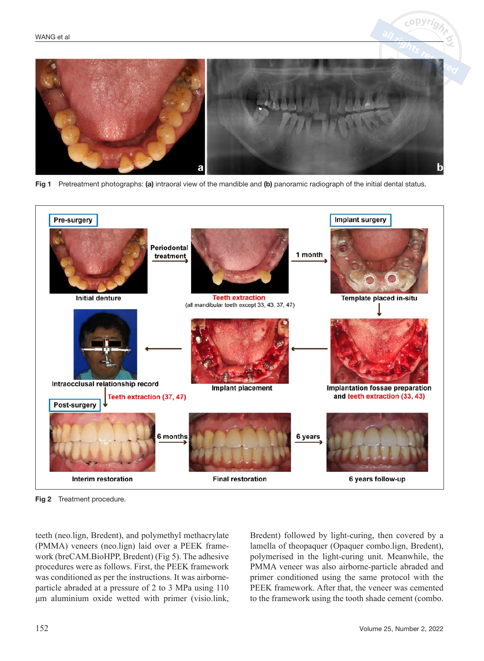

Fig 1 Pretreatment photographs: (a) intraoral view of the mandible and (b) panoramic radiograph of the initial dental status.



Fig 2 Treatment procedure.

teeth (neo.lign, Bredent), and polymethyl methacrylate (PMMA) veneers (neo.lign) laid over a PEEK framework (breCAM.BioHPP, Bredent) (Fig 5). The adhesive procedures were as follows. First, the PEEK framework was conditioned as per the instructions. It was airborneparticle abraded at a pressure of 2 to 3 MPa using 110 μm aluminium oxide wetted with primer (visio.link,

Bredent) followed by light-curing, then covered by a lamella of theopaquer (Opaquer combo.lign, Bredent), polymerised in the light-curing unit. Meanwhile, the PMMA veneer was also airborne-particle abraded and primer conditioned using the same protocol with the PEEK framework. After that, the veneer was cemented to the framework using the tooth shade cement (combo.

 $c$  o DVr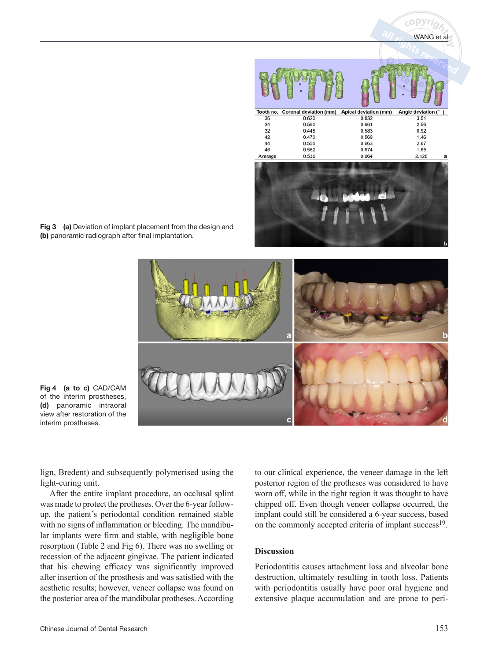

Fig 3 (a) Deviation of implant placement from the design and (b) panoramic radiograph after final implantation.



Fig 4 (a to c) CAD/CAM of the interim prostheses, (d) panoramic intraoral view after restoration of the interim prostheses.

lign, Bredent) and subsequently polymerised using the light-curing unit.

After the entire implant procedure, an occlusal splint was made to protect the protheses. Over the 6-year followup, the patient's periodontal condition remained stable with no signs of inflammation or bleeding. The mandibular implants were firm and stable, with negligible bone resorption (Table 2 and Fig 6). There was no swelling or recession of the adjacent gingivae. The patient indicated that his chewing efficacy was significantly improved after insertion of the prosthesis and was satisfied with the aesthetic results; however, veneer collapse was found on the posterior area of the mandibular protheses. According

to our clinical experience, the veneer damage in the left posterior region of the protheses was considered to have worn off, while in the right region it was thought to have chipped off. Even though veneer collapse occurred, the implant could still be considered a 6-year success, based on the commonly accepted criteria of implant success<sup>19</sup>.

# **Discussion**

Periodontitis causes attachment loss and alveolar bone destruction, ultimately resulting in tooth loss. Patients with periodontitis usually have poor oral hygiene and extensive plaque accumulation and are prone to peri-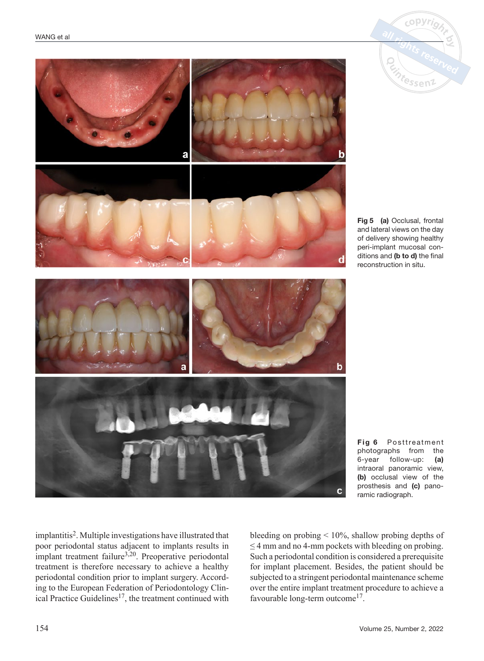



Fig 5 (a) Occlusal, frontal and lateral views on the day of delivery showing healthy peri-implant mucosal conditions and (b to d) the final reconstruction in situ.

Fig 6 Posttreatment photographs from the 6-year follow-up: (a) intraoral panoramic view, (b) occlusal view of the prosthesis and (c) panoramic radiograph.

implantitis2. Multiple investigations have illustrated that poor periodontal status adjacent to implants results in implant treatment failure $3,20$ . Preoperative periodontal treatment is therefore necessary to achieve a healthy periodontal condition prior to implant surgery. According to the European Federation of Periodontology Clinical Practice Guidelines<sup>17</sup>, the treatment continued with bleeding on probing  $\leq 10\%$ , shallow probing depths of  $\leq$  4 mm and no 4-mm pockets with bleeding on probing. Such a periodontal condition is considered a prerequisite for implant placement. Besides, the patient should be subjected to a stringent periodontal maintenance scheme over the entire implant treatment procedure to achieve a favourable long-term outcome<sup>17</sup>.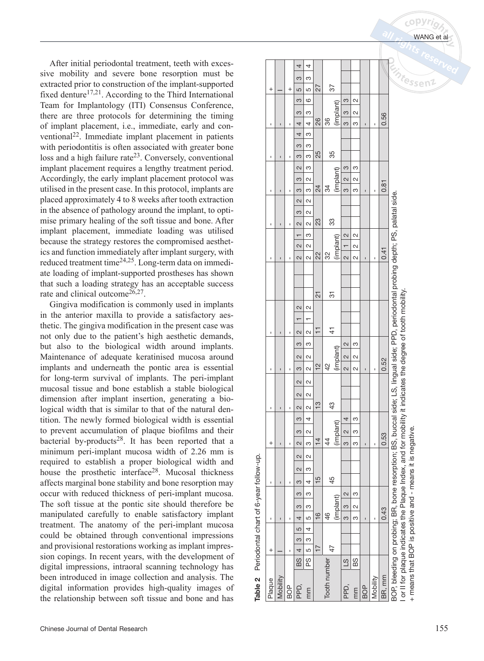After initial periodontal treatment, teeth with excessive mobility and severe bone resorption must be extracted prior to construction of the implant-supported fixed denture<sup>17,21</sup>. According to the Third International Team for Implantology (ITI) Consensus Conference, there are three protocols for determining the timing of implant placement, i.e., immediate, early and conventional22. Immediate implant placement in patients with periodontitis is often associated with greater bone loss and a high failure rate<sup>23</sup>. Conversely, conventional implant placement requires a lengthy treatment period. Accordingly, the early implant placement protocol was utilised in the present case. In this protocol, implants are placed approximately 4 to 8 weeks after tooth extraction in the absence of pathology around the implant, to optimise primary healing of the soft tissue and bone. After implant placement, immediate loading was utilised because the strategy restores the compromised aesthetics and function immediately after implant surgery, with reduced treatment time24,25. Long-term data on immediate loading of implant-supported prostheses has shown that such a loading strategy has an acceptable success rate and clinical outcome<sup>26,27</sup>.

Gingiva modification is commonly used in implants in the anterior maxilla to provide a satisfactory aesthetic. The gingiva modification in the present case was not only due to the patient's high aesthetic demands, but also to the biological width around implants. Maintenance of adequate keratinised mucosa around implants and underneath the pontic area is essential for long-term survival of implants. The peri-implant mucosal tissue and bone establish a stable biological dimension after implant insertion, generating a biological width that is similar to that of the natural dentition. The newly formed biological width is essential to prevent accumulation of plaque biofilms and their bacterial by-products<sup>28</sup>. It has been reported that a minimum peri-implant mucosa width of 2.26 mm is required to establish a proper biological width and house the prosthetic interface<sup>28</sup>. Mucosal thickness affects marginal bone stability and bone resorption may occur with reduced thickness of peri-implant mucosa. The soft tissue at the pontic site should therefore be manipulated carefully to enable satisfactory implant treatment. The anatomy of the peri-implant mucosa could be obtained through conventional impressions and provisional restorations working as implant impression copings. In recent years, with the development of digital impressions, intraoral scanning technology has been introduced in image collection and analysis. The digital information provides high-quality images of the relationship between soft tissue and bone and has

| S<br>$\infty$<br>27<br>$\frac{87}{2}$<br>$\overline{c}$<br>LO<br>$\,^+$<br>$\,^+$<br>$\infty$<br>$\frac{6}{1}$<br>$\frac{1}{2}$<br>(implant)<br>$\sim$<br>$\frac{1}{3}$<br>$\frac{1}{2}$<br>$\frac{3}{4}$<br>$\overline{\mathbf{C}}$<br>36<br>26<br>4<br>3<br>ო<br>$\mathbf{I}$<br>ı<br>ı<br>ı<br>ı<br>$\frac{1}{2}$<br>4<br>S<br>$\frac{1}{3}$<br>25<br>35<br>$\frac{1}{2}$<br>S<br>$\blacksquare$<br>I<br>I<br>(implant)<br>$\frac{1}{2}$<br>$\sim$<br>$\begin{array}{ c c } \hline 2 & 3 \\ \hline \end{array}$<br>ო<br>$\frac{1}{2}$<br>$\overline{\Omega}$<br>$\frac{1}{2}$<br>34<br>$\overline{24}$<br>$\frac{1}{2}$<br>$\infty$<br>3<br>ო<br>$\blacksquare$<br>ı<br>ı<br>ı<br>$\sim$<br>$\frac{1}{2}$<br>$\begin{array}{ c c } \hline 2 & 2 \\ \hline \end{array}$<br>$\frac{3}{2}$<br>23<br>33<br>$\sim$<br>$\mathbf{I}$<br>ı<br>ı<br>$\overline{ }$<br>$\frac{1}{2}$<br>$\frac{1}{1}$<br>$\overline{\mathbf{C}}$<br>(implant)<br>$\overline{\mathbf{C}}$<br>$\sim$<br>$\frac{1}{2}$<br>32<br>22<br>$\sim$<br>$\overline{\mathcal{C}}$<br>2<br>2<br>ı<br>$\mathbf{I}$<br>ı<br>ı<br>ı<br>$\overline{2}$<br>51<br>$\sim$<br>$\overline{\mathbf{C}}$<br>$\overline{1}$<br>$\frac{1}{4}$<br>$\sim$<br>$\sim$<br>ı<br>$\mathbf{I}$<br>ı<br>M<br>S<br>$\frac{\infty}{\infty}$<br>ო<br>(implant)<br>$\overline{\mathbf{C}}$<br>$\overline{\mathbf{C}}$<br>$\sim$<br>2<br>$\frac{2}{3}$<br>42<br>$\sim$<br>ო<br>2<br>2<br>$\mathbf{I}$<br>ı<br>ı<br>ı<br>$\overline{\mathbf{C}}$<br>$\mathbf{C}$<br>$\sim$<br>$\sim$<br>$\frac{3}{2}$<br>$\frac{24}{3}$<br>$\sim$<br>$\sim$<br>ı<br>$\mathbf{I}$<br>ı<br>$\frac{1}{2}$<br>4<br>$\frac{4}{2}$<br>ო<br>$\frac{1}{2}$<br>$\infty$<br>$\infty$<br>$\frac{4}{3}$<br>44<br>$\sim$<br>$^{+}$<br>M<br>ო<br>ı<br>$\overline{\phantom{a}}$<br>ı<br>S<br>ı<br>$\sim$<br>$\sim$<br>$\sim$<br>$\frac{1}{2}$<br>$\frac{5}{1}$<br>45<br>4<br>c<br>ı<br>$\mathbf{I}$<br>ı<br>က<br>M |             | 0.56<br>0.81 |
|---------------------------------------------------------------------------------------------------------------------------------------------------------------------------------------------------------------------------------------------------------------------------------------------------------------------------------------------------------------------------------------------------------------------------------------------------------------------------------------------------------------------------------------------------------------------------------------------------------------------------------------------------------------------------------------------------------------------------------------------------------------------------------------------------------------------------------------------------------------------------------------------------------------------------------------------------------------------------------------------------------------------------------------------------------------------------------------------------------------------------------------------------------------------------------------------------------------------------------------------------------------------------------------------------------------------------------------------------------------------------------------------------------------------------------------------------------------------------------------------------------------------------------------------------------------------------------------------------------------------------------------------------------------------------------------------------------------------------------------------------------------------------------------------------------------------------------------------------------------------------------------------------------------------|-------------|--------------|
|                                                                                                                                                                                                                                                                                                                                                                                                                                                                                                                                                                                                                                                                                                                                                                                                                                                                                                                                                                                                                                                                                                                                                                                                                                                                                                                                                                                                                                                                                                                                                                                                                                                                                                                                                                                                                                                                                                                     |             |              |
|                                                                                                                                                                                                                                                                                                                                                                                                                                                                                                                                                                                                                                                                                                                                                                                                                                                                                                                                                                                                                                                                                                                                                                                                                                                                                                                                                                                                                                                                                                                                                                                                                                                                                                                                                                                                                                                                                                                     |             |              |
|                                                                                                                                                                                                                                                                                                                                                                                                                                                                                                                                                                                                                                                                                                                                                                                                                                                                                                                                                                                                                                                                                                                                                                                                                                                                                                                                                                                                                                                                                                                                                                                                                                                                                                                                                                                                                                                                                                                     |             |              |
|                                                                                                                                                                                                                                                                                                                                                                                                                                                                                                                                                                                                                                                                                                                                                                                                                                                                                                                                                                                                                                                                                                                                                                                                                                                                                                                                                                                                                                                                                                                                                                                                                                                                                                                                                                                                                                                                                                                     |             |              |
|                                                                                                                                                                                                                                                                                                                                                                                                                                                                                                                                                                                                                                                                                                                                                                                                                                                                                                                                                                                                                                                                                                                                                                                                                                                                                                                                                                                                                                                                                                                                                                                                                                                                                                                                                                                                                                                                                                                     |             |              |
|                                                                                                                                                                                                                                                                                                                                                                                                                                                                                                                                                                                                                                                                                                                                                                                                                                                                                                                                                                                                                                                                                                                                                                                                                                                                                                                                                                                                                                                                                                                                                                                                                                                                                                                                                                                                                                                                                                                     |             |              |
|                                                                                                                                                                                                                                                                                                                                                                                                                                                                                                                                                                                                                                                                                                                                                                                                                                                                                                                                                                                                                                                                                                                                                                                                                                                                                                                                                                                                                                                                                                                                                                                                                                                                                                                                                                                                                                                                                                                     |             |              |
|                                                                                                                                                                                                                                                                                                                                                                                                                                                                                                                                                                                                                                                                                                                                                                                                                                                                                                                                                                                                                                                                                                                                                                                                                                                                                                                                                                                                                                                                                                                                                                                                                                                                                                                                                                                                                                                                                                                     |             |              |
|                                                                                                                                                                                                                                                                                                                                                                                                                                                                                                                                                                                                                                                                                                                                                                                                                                                                                                                                                                                                                                                                                                                                                                                                                                                                                                                                                                                                                                                                                                                                                                                                                                                                                                                                                                                                                                                                                                                     |             |              |
|                                                                                                                                                                                                                                                                                                                                                                                                                                                                                                                                                                                                                                                                                                                                                                                                                                                                                                                                                                                                                                                                                                                                                                                                                                                                                                                                                                                                                                                                                                                                                                                                                                                                                                                                                                                                                                                                                                                     |             |              |
|                                                                                                                                                                                                                                                                                                                                                                                                                                                                                                                                                                                                                                                                                                                                                                                                                                                                                                                                                                                                                                                                                                                                                                                                                                                                                                                                                                                                                                                                                                                                                                                                                                                                                                                                                                                                                                                                                                                     |             |              |
|                                                                                                                                                                                                                                                                                                                                                                                                                                                                                                                                                                                                                                                                                                                                                                                                                                                                                                                                                                                                                                                                                                                                                                                                                                                                                                                                                                                                                                                                                                                                                                                                                                                                                                                                                                                                                                                                                                                     |             |              |
|                                                                                                                                                                                                                                                                                                                                                                                                                                                                                                                                                                                                                                                                                                                                                                                                                                                                                                                                                                                                                                                                                                                                                                                                                                                                                                                                                                                                                                                                                                                                                                                                                                                                                                                                                                                                                                                                                                                     |             |              |
|                                                                                                                                                                                                                                                                                                                                                                                                                                                                                                                                                                                                                                                                                                                                                                                                                                                                                                                                                                                                                                                                                                                                                                                                                                                                                                                                                                                                                                                                                                                                                                                                                                                                                                                                                                                                                                                                                                                     |             |              |
|                                                                                                                                                                                                                                                                                                                                                                                                                                                                                                                                                                                                                                                                                                                                                                                                                                                                                                                                                                                                                                                                                                                                                                                                                                                                                                                                                                                                                                                                                                                                                                                                                                                                                                                                                                                                                                                                                                                     |             |              |
|                                                                                                                                                                                                                                                                                                                                                                                                                                                                                                                                                                                                                                                                                                                                                                                                                                                                                                                                                                                                                                                                                                                                                                                                                                                                                                                                                                                                                                                                                                                                                                                                                                                                                                                                                                                                                                                                                                                     |             | 0.41         |
|                                                                                                                                                                                                                                                                                                                                                                                                                                                                                                                                                                                                                                                                                                                                                                                                                                                                                                                                                                                                                                                                                                                                                                                                                                                                                                                                                                                                                                                                                                                                                                                                                                                                                                                                                                                                                                                                                                                     |             |              |
|                                                                                                                                                                                                                                                                                                                                                                                                                                                                                                                                                                                                                                                                                                                                                                                                                                                                                                                                                                                                                                                                                                                                                                                                                                                                                                                                                                                                                                                                                                                                                                                                                                                                                                                                                                                                                                                                                                                     |             |              |
|                                                                                                                                                                                                                                                                                                                                                                                                                                                                                                                                                                                                                                                                                                                                                                                                                                                                                                                                                                                                                                                                                                                                                                                                                                                                                                                                                                                                                                                                                                                                                                                                                                                                                                                                                                                                                                                                                                                     |             |              |
|                                                                                                                                                                                                                                                                                                                                                                                                                                                                                                                                                                                                                                                                                                                                                                                                                                                                                                                                                                                                                                                                                                                                                                                                                                                                                                                                                                                                                                                                                                                                                                                                                                                                                                                                                                                                                                                                                                                     |             |              |
|                                                                                                                                                                                                                                                                                                                                                                                                                                                                                                                                                                                                                                                                                                                                                                                                                                                                                                                                                                                                                                                                                                                                                                                                                                                                                                                                                                                                                                                                                                                                                                                                                                                                                                                                                                                                                                                                                                                     |             |              |
|                                                                                                                                                                                                                                                                                                                                                                                                                                                                                                                                                                                                                                                                                                                                                                                                                                                                                                                                                                                                                                                                                                                                                                                                                                                                                                                                                                                                                                                                                                                                                                                                                                                                                                                                                                                                                                                                                                                     |             |              |
|                                                                                                                                                                                                                                                                                                                                                                                                                                                                                                                                                                                                                                                                                                                                                                                                                                                                                                                                                                                                                                                                                                                                                                                                                                                                                                                                                                                                                                                                                                                                                                                                                                                                                                                                                                                                                                                                                                                     |             |              |
|                                                                                                                                                                                                                                                                                                                                                                                                                                                                                                                                                                                                                                                                                                                                                                                                                                                                                                                                                                                                                                                                                                                                                                                                                                                                                                                                                                                                                                                                                                                                                                                                                                                                                                                                                                                                                                                                                                                     |             |              |
|                                                                                                                                                                                                                                                                                                                                                                                                                                                                                                                                                                                                                                                                                                                                                                                                                                                                                                                                                                                                                                                                                                                                                                                                                                                                                                                                                                                                                                                                                                                                                                                                                                                                                                                                                                                                                                                                                                                     |             |              |
|                                                                                                                                                                                                                                                                                                                                                                                                                                                                                                                                                                                                                                                                                                                                                                                                                                                                                                                                                                                                                                                                                                                                                                                                                                                                                                                                                                                                                                                                                                                                                                                                                                                                                                                                                                                                                                                                                                                     |             | 0.52         |
|                                                                                                                                                                                                                                                                                                                                                                                                                                                                                                                                                                                                                                                                                                                                                                                                                                                                                                                                                                                                                                                                                                                                                                                                                                                                                                                                                                                                                                                                                                                                                                                                                                                                                                                                                                                                                                                                                                                     |             |              |
|                                                                                                                                                                                                                                                                                                                                                                                                                                                                                                                                                                                                                                                                                                                                                                                                                                                                                                                                                                                                                                                                                                                                                                                                                                                                                                                                                                                                                                                                                                                                                                                                                                                                                                                                                                                                                                                                                                                     |             |              |
|                                                                                                                                                                                                                                                                                                                                                                                                                                                                                                                                                                                                                                                                                                                                                                                                                                                                                                                                                                                                                                                                                                                                                                                                                                                                                                                                                                                                                                                                                                                                                                                                                                                                                                                                                                                                                                                                                                                     |             |              |
|                                                                                                                                                                                                                                                                                                                                                                                                                                                                                                                                                                                                                                                                                                                                                                                                                                                                                                                                                                                                                                                                                                                                                                                                                                                                                                                                                                                                                                                                                                                                                                                                                                                                                                                                                                                                                                                                                                                     |             |              |
|                                                                                                                                                                                                                                                                                                                                                                                                                                                                                                                                                                                                                                                                                                                                                                                                                                                                                                                                                                                                                                                                                                                                                                                                                                                                                                                                                                                                                                                                                                                                                                                                                                                                                                                                                                                                                                                                                                                     |             |              |
|                                                                                                                                                                                                                                                                                                                                                                                                                                                                                                                                                                                                                                                                                                                                                                                                                                                                                                                                                                                                                                                                                                                                                                                                                                                                                                                                                                                                                                                                                                                                                                                                                                                                                                                                                                                                                                                                                                                     |             | 0.53         |
|                                                                                                                                                                                                                                                                                                                                                                                                                                                                                                                                                                                                                                                                                                                                                                                                                                                                                                                                                                                                                                                                                                                                                                                                                                                                                                                                                                                                                                                                                                                                                                                                                                                                                                                                                                                                                                                                                                                     |             |              |
|                                                                                                                                                                                                                                                                                                                                                                                                                                                                                                                                                                                                                                                                                                                                                                                                                                                                                                                                                                                                                                                                                                                                                                                                                                                                                                                                                                                                                                                                                                                                                                                                                                                                                                                                                                                                                                                                                                                     |             |              |
|                                                                                                                                                                                                                                                                                                                                                                                                                                                                                                                                                                                                                                                                                                                                                                                                                                                                                                                                                                                                                                                                                                                                                                                                                                                                                                                                                                                                                                                                                                                                                                                                                                                                                                                                                                                                                                                                                                                     |             |              |
|                                                                                                                                                                                                                                                                                                                                                                                                                                                                                                                                                                                                                                                                                                                                                                                                                                                                                                                                                                                                                                                                                                                                                                                                                                                                                                                                                                                                                                                                                                                                                                                                                                                                                                                                                                                                                                                                                                                     | $\sim$<br>ო |              |
| $\frac{1}{2}$<br>$\infty$                                                                                                                                                                                                                                                                                                                                                                                                                                                                                                                                                                                                                                                                                                                                                                                                                                                                                                                                                                                                                                                                                                                                                                                                                                                                                                                                                                                                                                                                                                                                                                                                                                                                                                                                                                                                                                                                                           |             |              |
| (implant)<br>$\frac{3}{2}$<br>$\sim$<br>46<br>$\frac{6}{5}$<br>$\overline{5}$<br>က<br>$\overline{4}$<br>ო                                                                                                                                                                                                                                                                                                                                                                                                                                                                                                                                                                                                                                                                                                                                                                                                                                                                                                                                                                                                                                                                                                                                                                                                                                                                                                                                                                                                                                                                                                                                                                                                                                                                                                                                                                                                           |             | 0.43         |
| $\mathbf{I}$<br>ı<br>ı<br>f,                                                                                                                                                                                                                                                                                                                                                                                                                                                                                                                                                                                                                                                                                                                                                                                                                                                                                                                                                                                                                                                                                                                                                                                                                                                                                                                                                                                                                                                                                                                                                                                                                                                                                                                                                                                                                                                                                        |             |              |
|                                                                                                                                                                                                                                                                                                                                                                                                                                                                                                                                                                                                                                                                                                                                                                                                                                                                                                                                                                                                                                                                                                                                                                                                                                                                                                                                                                                                                                                                                                                                                                                                                                                                                                                                                                                                                                                                                                                     |             |              |
| 5 3 4<br>$\overline{1}$<br>47<br>$\,^+$<br>Ï                                                                                                                                                                                                                                                                                                                                                                                                                                                                                                                                                                                                                                                                                                                                                                                                                                                                                                                                                                                                                                                                                                                                                                                                                                                                                                                                                                                                                                                                                                                                                                                                                                                                                                                                                                                                                                                                        |             |              |
| BS 4 3 5<br>62<br>P<br>88<br>$\overline{3}$                                                                                                                                                                                                                                                                                                                                                                                                                                                                                                                                                                                                                                                                                                                                                                                                                                                                                                                                                                                                                                                                                                                                                                                                                                                                                                                                                                                                                                                                                                                                                                                                                                                                                                                                                                                                                                                                         |             |              |
| Tooth number<br>Mobility<br>Mobility<br>Plaque<br>PPD,<br>PP),<br>BOP<br>B<br><b>BOP</b><br>mm<br>mm                                                                                                                                                                                                                                                                                                                                                                                                                                                                                                                                                                                                                                                                                                                                                                                                                                                                                                                                                                                                                                                                                                                                                                                                                                                                                                                                                                                                                                                                                                                                                                                                                                                                                                                                                                                                                |             | BR, mm       |

BOP, bleeding on probing; BR, bone resorption; BS, buccal side; LS, lingual side; PPD, periodontal probing depth; PS, palatal side. BOP, bleeding on probing; BR, bone resorption; BS, buccal side; LS, lingual side; PPD, periodontal probing depth; PS, palatal side. or II for plaque indicates the Plaque Index, and for mobility it indicates the degree of tooth mobility. I or II for plaque indicates the Plaque Index, and for mobility it indicates the degree of tooth mobility. + means that BOP is positive and - means it is negative. + means that BOP is positive and - means it is negative.

**WANG** et

 $n$ ass $e^g$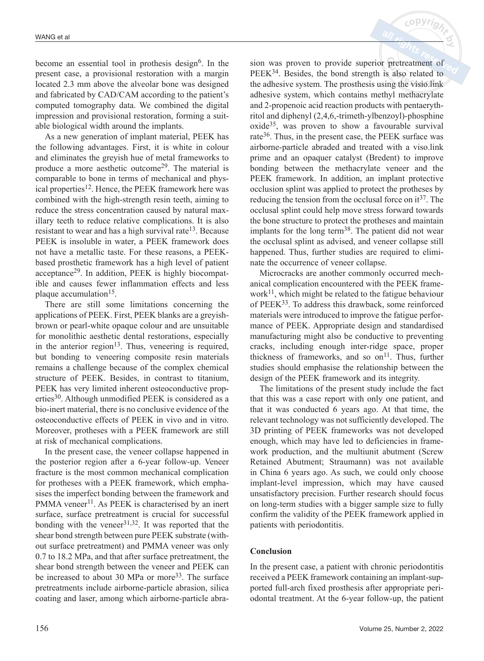become an essential tool in prothesis design $6$ . In the present case, a provisional restoration with a margin located 2.3 mm above the alveolar bone was designed and fabricated by CAD/CAM according to the patient's computed tomography data. We combined the digital impression and provisional restoration, forming a suitable biological width around the implants.

As a new generation of implant material, PEEK has the following advantages. First, it is white in colour and eliminates the greyish hue of metal frameworks to produce a more aesthetic outcome<sup>29</sup>. The material is comparable to bone in terms of mechanical and physical properties<sup>12</sup>. Hence, the PEEK framework here was combined with the high-strength resin teeth, aiming to reduce the stress concentration caused by natural maxillary teeth to reduce relative complications. It is also resistant to wear and has a high survival rate<sup>13</sup>. Because PEEK is insoluble in water, a PEEK framework does not have a metallic taste. For these reasons, a PEEKbased prosthetic framework has a high level of patient acceptance29. In addition, PEEK is highly biocompatible and causes fewer inflammation effects and less plaque accumulation<sup>15</sup>.

There are still some limitations concerning the applications of PEEK. First, PEEK blanks are a greyishbrown or pearl-white opaque colour and are unsuitable for monolithic aesthetic dental restorations, especially in the anterior region<sup>13</sup>. Thus, veneering is required, but bonding to veneering composite resin materials remains a challenge because of the complex chemical structure of PEEK. Besides, in contrast to titanium, PEEK has very limited inherent osteoconductive properties<sup>30</sup>. Although unmodified PEEK is considered as a bio-inert material, there is no conclusive evidence of the osteoconductive effects of PEEK in vivo and in vitro. Moreover, protheses with a PEEK framework are still at risk of mechanical complications.

In the present case, the veneer collapse happened in the posterior region after a 6-year follow-up. Veneer fracture is the most common mechanical complication for protheses with a PEEK framework, which emphasises the imperfect bonding between the framework and PMMA veneer<sup>11</sup>. As PEEK is characterised by an inert surface, surface pretreatment is crucial for successful bonding with the veneer $31,32$ . It was reported that the shear bond strength between pure PEEK substrate (without surface pretreatment) and PMMA veneer was only 0.7 to 18.2 MPa, and that after surface pretreatment, the shear bond strength between the veneer and PEEK can be increased to about 30 MPa or more<sup>33</sup>. The surface pretreatments include airborne-particle abrasion, silica coating and laser, among which airborne-particle abrasion was proven to provide superior pretreatment of PEEK<sup>34</sup>. Besides, the bond strength is also related to the adhesive system. The prosthesis using the visio.link adhesive system, which contains methyl methacrylate and 2-propenoic acid reaction products with pentaerythritol and diphenyl (2,4,6,-trimeth-ylbenzoyl)-phosphine oxide35, was proven to show a favourable survival rate36. Thus, in the present case, the PEEK surface was airborne-particle abraded and treated with a viso.link prime and an opaquer catalyst (Bredent) to improve bonding between the methacrylate veneer and the PEEK framework. In addition, an implant protective occlusion splint was applied to protect the protheses by reducing the tension from the occlusal force on  $it^{37}$ . The occlusal splint could help move stress forward towards the bone structure to protect the protheses and maintain implants for the long term<sup>38</sup>. The patient did not wear the occlusal splint as advised, and veneer collapse still happened. Thus, further studies are required to eliminate the occurrence of veneer collapse.

 $c$  ODVr

Microcracks are another commonly occurred mechanical complication encountered with the PEEK framework $^{11}$ , which might be related to the fatigue behaviour of PEEK33. To address this drawback, some reinforced materials were introduced to improve the fatigue performance of PEEK. Appropriate design and standardised manufacturing might also be conductive to preventing cracks, including enough inter-ridge space, proper thickness of frameworks, and so  $\text{on}^{11}$ . Thus, further studies should emphasise the relationship between the design of the PEEK framework and its integrity.

The limitations of the present study include the fact that this was a case report with only one patient, and that it was conducted 6 years ago. At that time, the relevant technology was not sufficiently developed. The 3D printing of PEEK frameworks was not developed enough, which may have led to deficiencies in framework production, and the multiunit abutment (Screw Retained Abutment; Straumann) was not available in China 6 years ago. As such, we could only choose implant-level impression, which may have caused unsatisfactory precision. Further research should focus on long-term studies with a bigger sample size to fully confirm the validity of the PEEK framework applied in patients with periodontitis.

# **Conclusion**

In the present case, a patient with chronic periodontitis received a PEEK framework containing an implant-supported full-arch fixed prosthesis after appropriate periodontal treatment. At the 6-year follow-up, the patient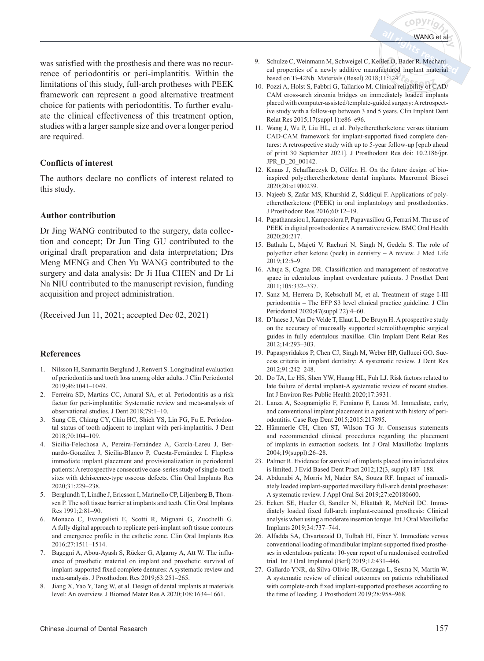*c*opyriم

was satisfied with the prosthesis and there was no recurrence of periodontitis or peri-implantitis. Within the limitations of this study, full-arch protheses with PEEK framework can represent a good alternative treatment choice for patients with periodontitis. To further evaluate the clinical effectiveness of this treatment option, studies with a larger sample size and over a longer period are required.

#### **Conflicts of interest**

The authors declare no conflicts of interest related to this study.

#### **Author contribution**

Dr Jing WANG contributed to the surgery, data collection and concept; Dr Jun Ting GU contributed to the original draft preparation and data interpretation; Drs Meng MENG and Chen Yu WANG contributed to the surgery and data analysis; Dr Ji Hua CHEN and Dr Li Na NIU contributed to the manuscript revision, funding acquisition and project administration.

(Received Jun 11, 2021; accepted Dec 02, 2021)

#### **References**

- 1. Nilsson H, Sanmartin Berglund J, Renvert S. Longitudinal evaluation of periodontitis and tooth loss among older adults. J Clin Periodontol 2019;46:1041–1049.
- 2. Ferreira SD, Martins CC, Amaral SA, et al. Periodontitis as a risk factor for peri-implantitis: Systematic review and meta-analysis of observational studies. J Dent 2018;79:1–10.
- 3. Sung CE, Chiang CY, Chiu HC, Shieh YS, Lin FG, Fu E. Periodontal status of tooth adjacent to implant with peri-implantitis. J Dent 2018;70:104–109.
- 4. Sicilia-Felechosa A, Pereira-Fernández A, García-Lareu J, Bernardo-González J, Sicilia-Blanco P, Cuesta-Fernández I. Flapless immediate implant placement and provisionalization in periodontal patients: A retrospective consecutive case-series study of single-tooth sites with dehiscence-type osseous defects. Clin Oral Implants Res 2020;31:229–238.
- 5. Berglundh T, Lindhe J, Ericsson I, Marinello CP, Liljenberg B, Thomsen P. The soft tissue barrier at implants and teeth. Clin Oral Implants Res 1991;2:81–90.
- 6. Monaco C, Evangelisti E, Scotti R, Mignani G, Zucchelli G. A fully digital approach to replicate peri-implant soft tissue contours and emergence profile in the esthetic zone. Clin Oral Implants Res 2016;27:1511–1514.
- 7. Bagegni A, Abou-Ayash S, Rücker G, Algarny A, Att W. The influence of prosthetic material on implant and prosthetic survival of implant-supported fixed complete dentures: A systematic review and meta-analysis. J Prosthodont Res 2019;63:251–265.
- 8. Jiang X, Yao Y, Tang W, et al. Design of dental implants at materials level: An overview. J Biomed Mater Res A 2020;108:1634–1661.
- 9. Schulze C, Weinmann M, Schweigel C, Keßler O, Bader R. Mechanical properties of a newly additive manufactured implant material based on Ti-42Nb. Materials (Basel) 2018;11:124.
- 10. Pozzi A, Holst S, Fabbri G, Tallarico M. Clinical reliability of CAD/ CAM cross-arch zirconia bridges on immediately loaded implants placed with computer-assisted/template-guided surgery: A retrospective study with a follow-up between 3 and 5 years. Clin Implant Dent Relat Res 2015;17(suppl 1):e86–e96.
- 11. Wang J, Wu P, Liu HL, et al. Polyetheretherketone versus titanium CAD-CAM framework for implant-supported fixed complete dentures: A retrospective study with up to 5-year follow-up [epub ahead of print 30 September 2021]. J Prosthodont Res doi: 10.2186/jpr. JPR\_D\_20\_00142.
- 12. Knaus J, Schaffarczyk D, Cölfen H. On the future design of bioinspired polyetheretherketone dental implants. Macromol Biosci 2020;20:e1900239.
- 13. Najeeb S, Zafar MS, Khurshid Z, Siddiqui F. Applications of polyetheretherketone (PEEK) in oral implantology and prosthodontics. J Prosthodont Res 2016;60:12–19.
- 14. Papathanasiou I, Kamposiora P, Papavasiliou G, Ferrari M. The use of PEEK in digital prosthodontics: A narrative review. BMC Oral Health 2020;20:217.
- 15. Bathala L, Majeti V, Rachuri N, Singh N, Gedela S. The role of polyether ether ketone (peek) in dentistry – A review. J Med Life 2019;12:5–9.
- 16. Ahuja S, Cagna DR. Classification and management of restorative space in edentulous implant overdenture patients. J Prosthet Dent 2011;105:332–337.
- 17. Sanz M, Herrera D, Kebschull M, et al. Treatment of stage I-III periodontitis – The EFP S3 level clinical practice guideline. J Clin Periodontol 2020;47(suppl 22):4–60.
- 18. D'haese J, Van De Velde T, Elaut L, De Bruyn H. A prospective study on the accuracy of mucosally supported stereolithographic surgical guides in fully edentulous maxillae. Clin Implant Dent Relat Res 2012;14:293–303.
- 19. Papaspyridakos P, Chen CJ, Singh M, Weber HP, Gallucci GO. Success criteria in implant dentistry: A systematic review. J Dent Res 2012;91:242–248.
- 20. Do TA, Le HS, Shen YW, Huang HL, Fuh LJ. Risk factors related to late failure of dental implant-A systematic review of recent studies. Int J Environ Res Public Health 2020;17:3931.
- 21. Lanza A, Scognamiglio F, Femiano F, Lanza M. Immediate, early, and conventional implant placement in a patient with history of periodontitis. Case Rep Dent 2015;2015:217895.
- 22. Hämmerle CH, Chen ST, Wilson TG Jr. Consensus statements and recommended clinical procedures regarding the placement of implants in extraction sockets. Int J Oral Maxillofac Implants 2004;19(suppl):26–28.
- 23. Palmer R. Evidence for survival of implants placed into infected sites is limited. J Evid Based Dent Pract 2012;12(3, suppl):187–188.
- 24. Abdunabi A, Morris M, Nader SA, Souza RF. Impact of immediately loaded implant-supported maxillary full-arch dental prostheses: A systematic review. J Appl Oral Sci 2019;27:e20180600.
- 25. Eckert SE, Hueler G, Sandler N, Elkattah R, McNeil DC. Immediately loaded fixed full-arch implant-retained prosthesis: Clinical analysis when using a moderate insertion torque. Int J Oral Maxillofac Implants 2019;34:737–744.
- 26. Alfadda SA, Chvartszaid D, Tulbah HI, Finer Y. Immediate versus conventional loading of mandibular implant-supported fixed prostheses in edentulous patients: 10-year report of a randomised controlled trial. Int J Oral Implantol (Berl) 2019;12:431–446.
- 27. Gallardo YNR, da Silva-Olivio IR, Gonzaga L, Sesma N, Martin W. A systematic review of clinical outcomes on patients rehabilitated with complete-arch fixed implant-supported prostheses according to the time of loading. J Prosthodont 2019;28:958–968.